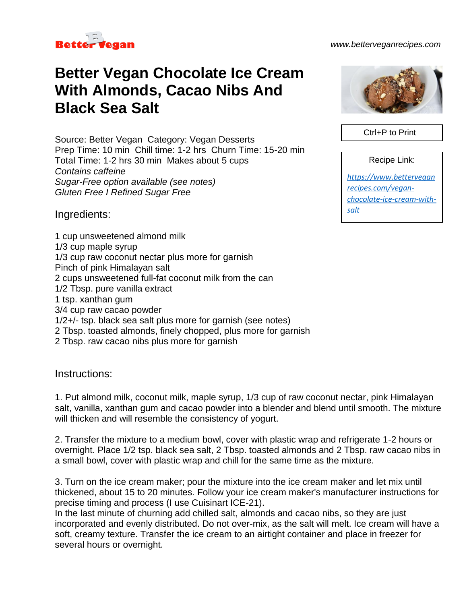

## *www.betterveganrecipes.com*

## **Better Vegan Chocolate Ice Cream With Almonds, Cacao Nibs And Black Sea Salt**

Source: Better Vegan Category: Vegan Desserts Prep Time: 10 min Chill time: 1-2 hrs Churn Time: 15-20 min Total Time: 1-2 hrs 30 min Makes about 5 cups *Contains caffeine Sugar-Free option available (see notes) Gluten Free I Refined Sugar Free*

Ingredients:

1 cup unsweetened almond milk 1/3 cup maple syrup 1/3 cup raw coconut nectar plus more for garnish Pinch of pink Himalayan salt 2 cups unsweetened full-fat coconut milk from the can 1/2 Tbsp. pure vanilla extract 1 tsp. xanthan gum 3/4 cup raw cacao powder 1/2+/- tsp. black sea salt plus more for garnish (see notes) 2 Tbsp. toasted almonds, finely chopped, plus more for garnish 2 Tbsp. raw cacao nibs plus more for garnish

Instructions:

1. Put almond milk, coconut milk, maple syrup, 1/3 cup of raw coconut nectar, pink Himalayan salt, vanilla, xanthan gum and cacao powder into a blender and blend until smooth. The mixture will thicken and will resemble the consistency of yogurt.

2. Transfer the mixture to a medium bowl, cover with plastic wrap and refrigerate 1-2 hours or overnight. Place 1/2 tsp. black sea salt, 2 Tbsp. toasted almonds and 2 Tbsp. raw cacao nibs in a small bowl, cover with plastic wrap and chill for the same time as the mixture.

3. Turn on the ice cream maker; pour the mixture into the ice cream maker and let mix until thickened, about 15 to 20 minutes. Follow your ice cream maker's manufacturer instructions for precise timing and process (I use Cuisinart ICE-21).

In the last minute of churning add chilled salt, almonds and cacao nibs, so they are just incorporated and evenly distributed. Do not over-mix, as the salt will melt. Ice cream will have a soft, creamy texture. Transfer the ice cream to an airtight container and place in freezer for several hours or overnight.



Ctrl+P to Print

Recipe Link:

*[https://www.bettervegan](https://www.betterveganrecipes.com/vegan-chocolate-ice-cream-with-salt) [recipes.com/vegan](https://www.betterveganrecipes.com/vegan-chocolate-ice-cream-with-salt)[chocolate-ice-cream-with](https://www.betterveganrecipes.com/vegan-chocolate-ice-cream-with-salt)[salt](https://www.betterveganrecipes.com/vegan-chocolate-ice-cream-with-salt)*